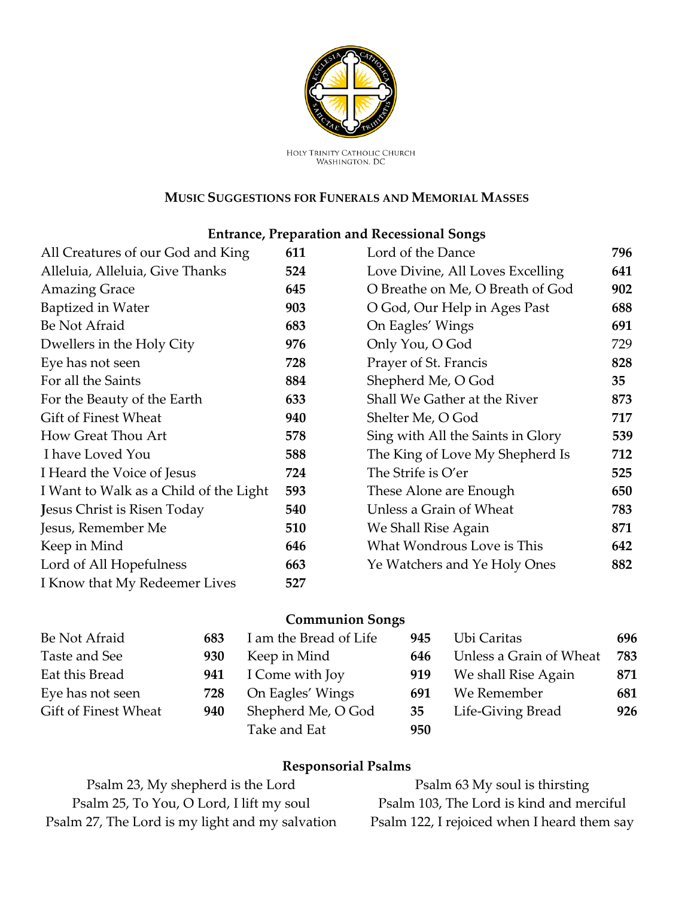

HOLY TRINITY CATHOLIC CHURCH<br>WASHINGTON, DC

#### **MUSIC SUGGESTIONS FOR FUNERALS AND MEMORIAL MASSES**

## **Entrance, Preparation and Recessional Songs**

| All Creatures of our God and King      | 611 | Lord of the Dance                 | 796 |
|----------------------------------------|-----|-----------------------------------|-----|
| Alleluia, Alleluia, Give Thanks        | 524 | Love Divine, All Loves Excelling  | 641 |
| <b>Amazing Grace</b>                   | 645 | O Breathe on Me, O Breath of God  | 902 |
| Baptized in Water                      | 903 | O God, Our Help in Ages Past      | 688 |
| Be Not Afraid                          | 683 | On Eagles' Wings                  | 691 |
| Dwellers in the Holy City              | 976 | Only You, O God                   | 729 |
| Eye has not seen                       | 728 | Prayer of St. Francis             | 828 |
| For all the Saints                     | 884 | Shepherd Me, O God                | 35  |
| For the Beauty of the Earth            | 633 | Shall We Gather at the River      | 873 |
| Gift of Finest Wheat                   | 940 | Shelter Me, O God                 | 717 |
| How Great Thou Art                     | 578 | Sing with All the Saints in Glory | 539 |
| I have Loved You                       | 588 | The King of Love My Shepherd Is   | 712 |
| I Heard the Voice of Jesus             | 724 | The Strife is O'er                | 525 |
| I Want to Walk as a Child of the Light | 593 | These Alone are Enough            | 650 |
| Jesus Christ is Risen Today            | 540 | Unless a Grain of Wheat           | 783 |
| Jesus, Remember Me                     | 510 | We Shall Rise Again               | 871 |
| Keep in Mind                           | 646 | What Wondrous Love is This        | 642 |
| Lord of All Hopefulness                | 663 | Ye Watchers and Ye Holy Ones      | 882 |
| I Know that My Redeemer Lives          | 527 |                                   |     |

#### **Communion Songs**

| Be Not Afraid        | 683 | I am the Bread of Life | 945 | Ubi Caritas             | 696 |
|----------------------|-----|------------------------|-----|-------------------------|-----|
| Taste and See        | 930 | Keep in Mind           | 646 | Unless a Grain of Wheat | 783 |
| Eat this Bread       | 941 | I Come with Joy        | 919 | We shall Rise Again     | 871 |
| Eye has not seen     | 728 | On Eagles' Wings       | 691 | We Remember             | 681 |
| Gift of Finest Wheat | 940 | Shepherd Me, O God     | 35  | Life-Giving Bread       | 926 |
|                      |     | Take and Eat           | 950 |                         |     |

#### **Responsorial Psalms**

| Psalm 23, My shepherd is the Lord               | Psalm 63 My soul is thirsting               |
|-------------------------------------------------|---------------------------------------------|
| Psalm 25, To You, O Lord, I lift my soul        | Psalm 103, The Lord is kind and merciful    |
| Psalm 27, The Lord is my light and my salvation | Psalm 122, I rejoiced when I heard them say |